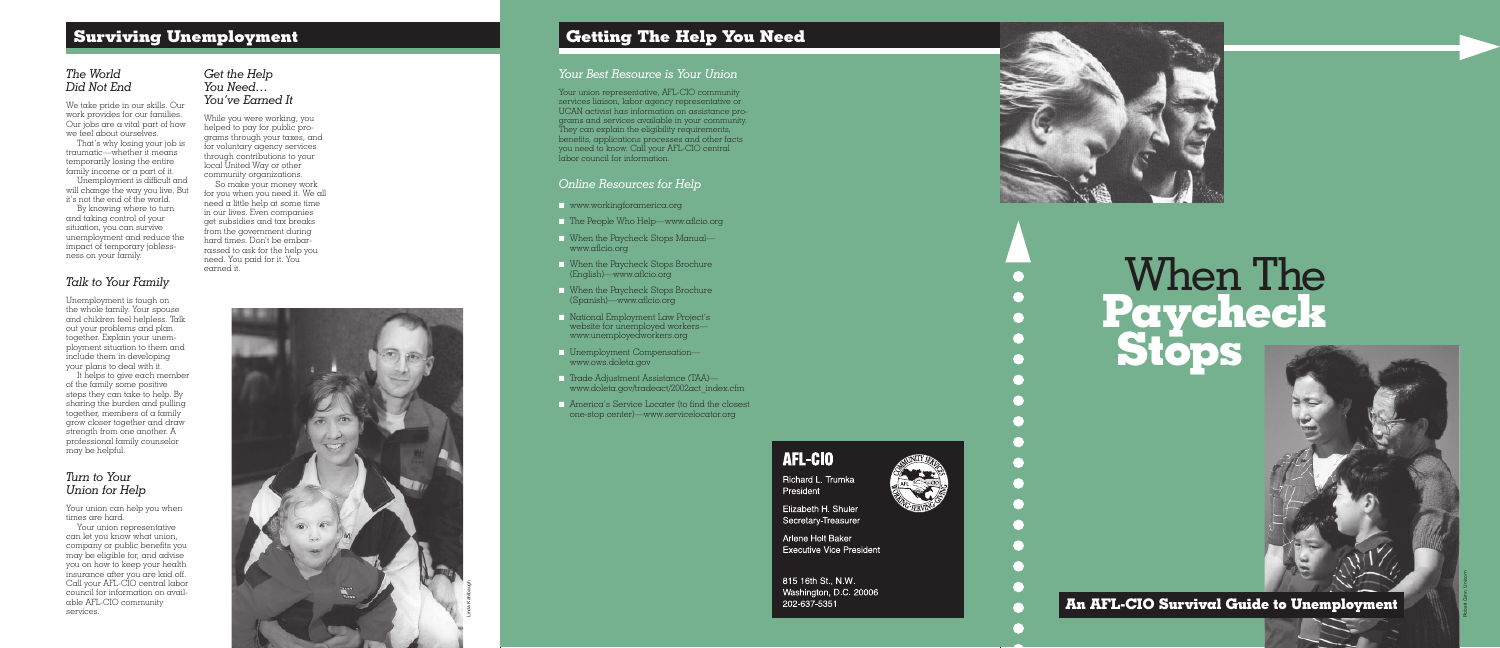**An AFL -CIO Survival Guide to Unemployment**

# *The World Did Not End*

We take pride in our skills. Our work provides for our families. Our jobs are a vital part of how we feel about ourselves.

That's why losing your job is traumatic—whether it means temporarily losing the entire family income or a part of it.

Unemployment is difficult and will change the way you live. But it's not the end of the world.

By knowing where to turn and taking control of your situation, you can survive unemployment and reduce the impact of temporary jobless ness on your family.

# *Talk to Your Family*

Unemployment is tough on the whole family. Your spouse and children feel helpless. Talk out your problems and plan together. Explain your unem ployment situation to them and include them in developing your plans to deal with it.

It helps to give each member of the family some positive steps they can take to help. By sharing the burden and pulling together, members of a family grow closer together and draw strength from one another. A professional family counselor may be helpful.

## *Turn to Your Union for Help*

Your union can help you when times are hard.

Your union representative, AFL-CIO community services liaison, labor agency representative or UCAN activist has information on assistance programs and services available in your community. They can explain the eligibility requirements, benefits, applications processes and other facts you need to know. Call your AFL-CIO central labor council for information.

Your union representative can let you know what union, company or public benefits you may be eligible for, and advise you on how to keep your health insurance after you are laid off. Call your AFL-CIO central labor council for information on available AFL-CIO community services.

# *Get the Help You Need… You've Earned It*

**Richard L. Trumka** *President*

**Elizabeth H. Shuler** *Secretary-Treasurer*

**Arlene Holt Baker** *Executive Vice President*

While you were working, you helped to pay for public programs through your taxes, and for voluntary agency services through contributions to your local United Way or other community organizations.

So make your money work for you when you need it. We all need a little help at some time in our lives. Even companies get subsidies and tax breaks from the government during hard times. Don't be embarrassed to ask for the help you need. You paid for it. You earned it.

# **Surviving Unemployment Getting The Help You Need**

## *Your Best Resource is Your Union*

# *Online Resources for Help*

- www.workingforamerica.org
- The People Who Help—www.aflcio.org
- When the Paycheck Stops Manual www.aflcio.org
- When the Paycheck Stops Brochure (English)—www.aflcio.org
- When the Paycheck Stops Brochure (Spanish)—www.aflcio.org
- National Employment Law Project's website for unemployed workers www.unemployedworkers.org
- Unemployment Compensation www.ows.doleta.gov
- Trade Adjustment Assistance (TAA) www.doleta.gov/tradeact/2002act\_index.cfm
- America's Service Locater (to find the closest one-stop center)—www.servicelocator.org

**AFL-CIO**

**815 16th St., N.W. Washington, D.C. 20006 202-637-5351**



# **When The Paycheck**



Robert Ginn, Unicorn